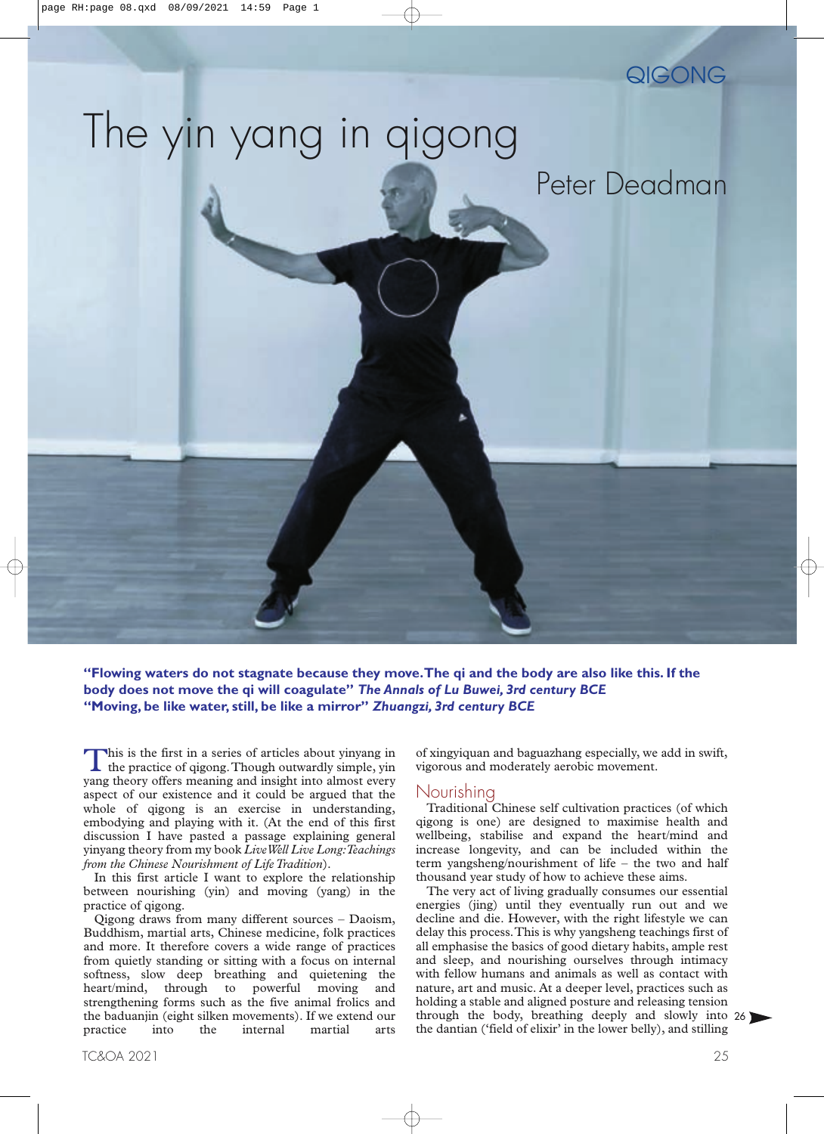

# The yin yang in qigong

## Peter Deadman

**"Flowing waters do not stagnate because they move.The qi and the body are also like this. If the body does not move the qi will coagulate"** *The Annals of Lu Buwei, 3rd century BCE* **"Moving, be like water, still, be like a mirror"** *Zhuangzi, 3rd century BCE*

This is the first in a series of articles about yinyang in the practice of qigong. Though outwardly simple, yin yang theory offers meaning and insight into almost every aspect of our existence and it could be argued that the whole of qigong is an exercise in understanding, embodying and playing with it. (At the end of this first discussion I have pasted a passage explaining general yinyang theory from my book *LiveWell Live Long:Teachings from the Chinese Nourishment of Life Tradition*).

In this first article I want to explore the relationship between nourishing (yin) and moving (yang) in the practice of qigong.

Qigong draws from many different sources – Daoism, Buddhism, martial arts, Chinese medicine, folk practices and more. It therefore covers a wide range of practices from quietly standing or sitting with a focus on internal softness, slow deep breathing and quietening the heart/mind, through to powerful moving and strengthening forms such as the five animal frolics and the baduanjin (eight silken movements). If we extend our practice into the internal martial arts of xingyiquan and baguazhang especially, we add in swift, vigorous and moderately aerobic movement.

#### Nourishing

Traditional Chinese self cultivation practices (of which qigong is one) are designed to maximise health and wellbeing, stabilise and expand the heart/mind and increase longevity, and can be included within the term yangsheng/nourishment of life – the two and half thousand year study of how to achieve these aims.

The very act of living gradually consumes our essential energies (jing) until they eventually run out and we decline and die. However, with the right lifestyle we can delay this process.This is why yangsheng teachings first of all emphasise the basics of good dietary habits, ample rest and sleep, and nourishing ourselves through intimacy with fellow humans and animals as well as contact with nature, art and music. At a deeper level, practices such as holding a stable and aligned posture and releasing tension through the body, breathing deeply and slowly into [26](#page-1-0) the dantian ('field of elixir' in the lower belly), and stilling